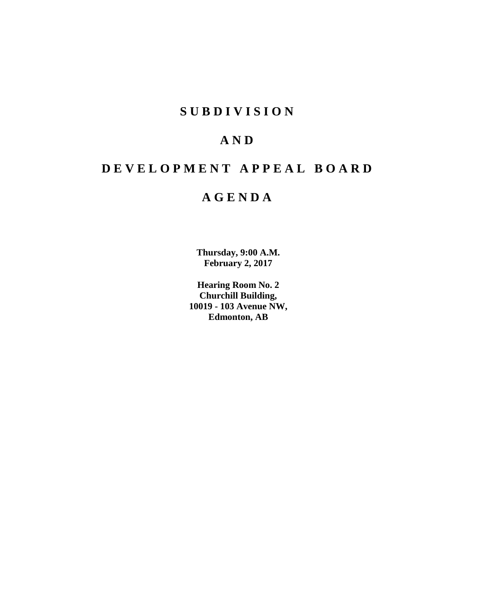# **SUBDIVISION**

# **AND**

# **DEVELOPMENT APPEAL BOARD**

# **AGENDA**

**Thursday, 9:00 A.M. February 2, 2017**

**Hearing Room No. 2 Churchill Building, 10019 - 103 Avenue NW, Edmonton, AB**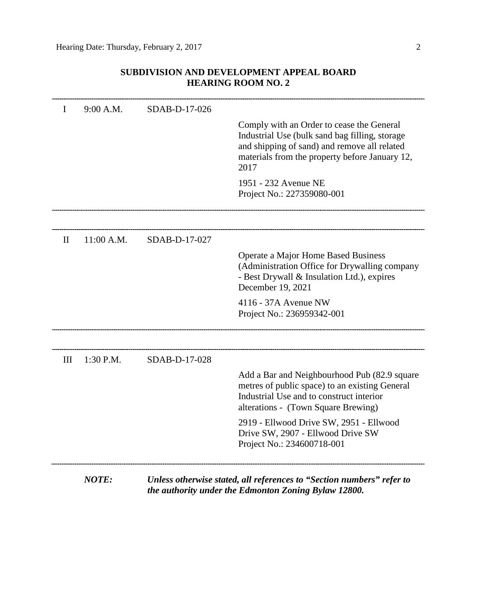# **SUBDIVISION AND DEVELOPMENT APPEAL BOARD HEARING ROOM NO. 2**

| $11:00$ A.M. | SDAB-D-17-027 | Comply with an Order to cease the General<br>Industrial Use (bulk sand bag filling, storage<br>and shipping of sand) and remove all related<br>materials from the property before January 12,<br>2017<br>1951 - 232 Avenue NE<br>Project No.: 227359080-001<br>Operate a Major Home Based Business<br>(Administration Office for Drywalling company |
|--------------|---------------|-----------------------------------------------------------------------------------------------------------------------------------------------------------------------------------------------------------------------------------------------------------------------------------------------------------------------------------------------------|
|              |               |                                                                                                                                                                                                                                                                                                                                                     |
|              |               |                                                                                                                                                                                                                                                                                                                                                     |
|              |               |                                                                                                                                                                                                                                                                                                                                                     |
|              |               |                                                                                                                                                                                                                                                                                                                                                     |
|              |               | - Best Drywall & Insulation Ltd.), expires<br>December 19, 2021                                                                                                                                                                                                                                                                                     |
|              |               | 4116 - 37A Avenue NW<br>Project No.: 236959342-001                                                                                                                                                                                                                                                                                                  |
| $1:30$ P.M.  |               |                                                                                                                                                                                                                                                                                                                                                     |
|              |               | Add a Bar and Neighbourhood Pub (82.9 square<br>metres of public space) to an existing General<br>Industrial Use and to construct interior<br>alterations - (Town Square Brewing)                                                                                                                                                                   |
|              |               | 2919 - Ellwood Drive SW, 2951 - Ellwood<br>Drive SW, 2907 - Ellwood Drive SW<br>Project No.: 234600718-001                                                                                                                                                                                                                                          |
|              |               | SDAB-D-17-028                                                                                                                                                                                                                                                                                                                                       |

*the authority under the Edmonton Zoning Bylaw 12800.*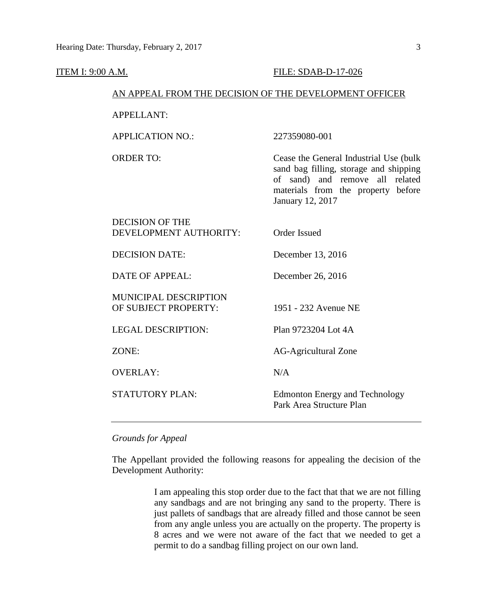| AN APPEAL FROM THE DECISION OF THE DEVELOPMENT OFFICER |                                                                                                                                                                                |  |  |
|--------------------------------------------------------|--------------------------------------------------------------------------------------------------------------------------------------------------------------------------------|--|--|
| <b>APPELLANT:</b>                                      |                                                                                                                                                                                |  |  |
| <b>APPLICATION NO.:</b>                                | 227359080-001                                                                                                                                                                  |  |  |
| <b>ORDER TO:</b>                                       | Cease the General Industrial Use (bulk)<br>sand bag filling, storage and shipping<br>of sand) and remove all related<br>materials from the property before<br>January 12, 2017 |  |  |
| <b>DECISION OF THE</b><br>DEVELOPMENT AUTHORITY:       | <b>Order Issued</b>                                                                                                                                                            |  |  |
| <b>DECISION DATE:</b>                                  | December 13, 2016                                                                                                                                                              |  |  |
| <b>DATE OF APPEAL:</b>                                 | December 26, 2016                                                                                                                                                              |  |  |
| <b>MUNICIPAL DESCRIPTION</b><br>OF SUBJECT PROPERTY:   | 1951 - 232 Avenue NE                                                                                                                                                           |  |  |
| <b>LEGAL DESCRIPTION:</b>                              | Plan 9723204 Lot 4A                                                                                                                                                            |  |  |
| ZONE:                                                  | <b>AG-Agricultural Zone</b>                                                                                                                                                    |  |  |
| <b>OVERLAY:</b>                                        | N/A                                                                                                                                                                            |  |  |
| <b>STATUTORY PLAN:</b>                                 | <b>Edmonton Energy and Technology</b><br>Park Area Structure Plan                                                                                                              |  |  |
|                                                        |                                                                                                                                                                                |  |  |

## *Grounds for Appeal*

The Appellant provided the following reasons for appealing the decision of the Development Authority:

> I am appealing this stop order due to the fact that that we are not filling any sandbags and are not bringing any sand to the property. There is just pallets of sandbags that are already filled and those cannot be seen from any angle unless you are actually on the property. The property is 8 acres and we were not aware of the fact that we needed to get a permit to do a sandbag filling project on our own land.

## **ITEM I: 9:00 A.M. FILE: SDAB-D-17-026**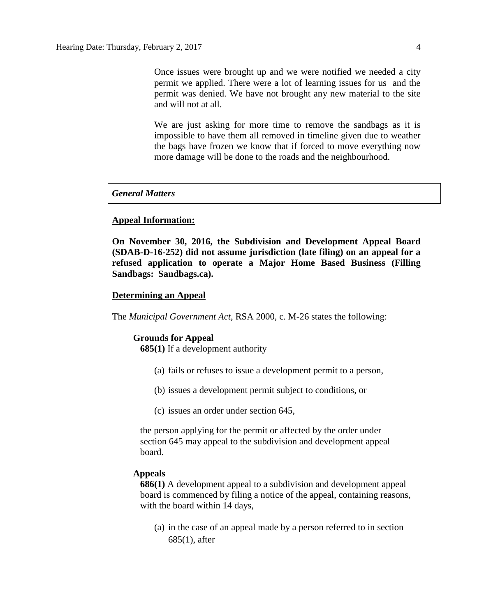Once issues were brought up and we were notified we needed a city permit we applied. There were a lot of learning issues for us and the permit was denied. We have not brought any new material to the site and will not at all.

We are just asking for more time to remove the sandbags as it is impossible to have them all removed in timeline given due to weather the bags have frozen we know that if forced to move everything now more damage will be done to the roads and the neighbourhood.

## *General Matters*

#### **Appeal Information:**

**On November 30, 2016, the Subdivision and Development Appeal Board (SDAB-D-16-252) did not assume jurisdiction (late filing) on an appeal for a refused application to operate a Major Home Based Business (Filling Sandbags: Sandbags.ca).** 

## **Determining an Appeal**

The *Municipal Government Act*, RSA 2000, c. M-26 states the following:

#### **Grounds for Appeal**

**685(1)** If a development authority

- (a) fails or refuses to issue a development permit to a person,
- (b) issues a development permit subject to conditions, or
- (c) issues an order under section 645,

the person applying for the permit or affected by the order under section 645 may appeal to the subdivision and development appeal board.

#### **Appeals**

**686(1)** A development appeal to a subdivision and development appeal board is commenced by filing a notice of the appeal, containing reasons, with the board within 14 days,

(a) in the case of an appeal made by a person referred to in section 685(1), after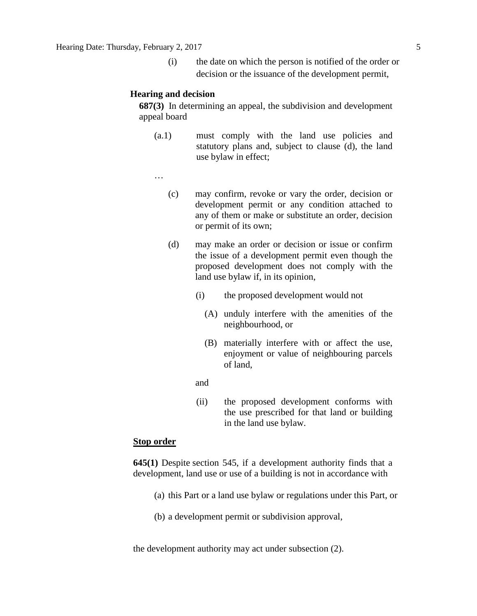(i) the date on which the person is notified of the order or decision or the issuance of the development permit,

#### **Hearing and decision**

**687(3)** In determining an appeal, the subdivision and development appeal board

- (a.1) must comply with the land use policies and statutory plans and, subject to clause (d), the land use bylaw in effect;
- …
	- (c) may confirm, revoke or vary the order, decision or development permit or any condition attached to any of them or make or substitute an order, decision or permit of its own;
	- (d) may make an order or decision or issue or confirm the issue of a development permit even though the proposed development does not comply with the land use bylaw if, in its opinion,
		- (i) the proposed development would not
			- (A) unduly interfere with the amenities of the neighbourhood, or
			- (B) materially interfere with or affect the use, enjoyment or value of neighbouring parcels of land,
- **and and** 
	- (ii) the proposed development conforms with the use prescribed for that land or building in the land use bylaw.

### **Stop order**

**645(1)** Despite [section 545,](https://www.canlii.org/en/ab/laws/stat/rsa-2000-c-m-26/latest/rsa-2000-c-m-26.html%23sec545_smooth) if a development authority finds that a development, land use or use of a building is not in accordance with

- (a) this Part or a land use bylaw or regulations under this Part, or
- (b) a development permit or subdivision approval,

the development authority may act under subsection (2).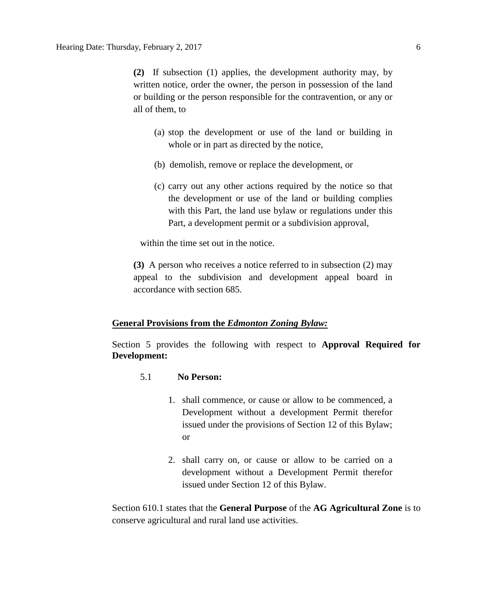**(2)** If subsection (1) applies, the development authority may, by written notice, order the owner, the person in possession of the land or building or the person responsible for the contravention, or any or all of them, to

- (a) stop the development or use of the land or building in whole or in part as directed by the notice,
- (b) demolish, remove or replace the development, or
- (c) carry out any other actions required by the notice so that the development or use of the land or building complies with this Part, the land use bylaw or regulations under this Part, a development permit or a subdivision approval,

within the time set out in the notice.

**(3)** A person who receives a notice referred to in subsection (2) may appeal to the subdivision and development appeal board in accordance with section 685.

#### **General Provisions from the** *Edmonton Zoning Bylaw:*

Section 5 provides the following with respect to **Approval Required for Development:**

- 5.1 **No Person:**
	- 1. shall commence, or cause or allow to be commenced, a Development without a development Permit therefor issued under the provisions of [Section](http://webdocs.edmonton.ca/InfraPlan/zoningbylaw/ZoningBylaw/Part1/Administrative/12__Development_Classes.htm) 12 of this Bylaw; or
	- 2. shall carry on, or cause or allow to be carried on a development without a Development Permit therefor issued under [Section](http://webdocs.edmonton.ca/InfraPlan/zoningbylaw/ZoningBylaw/Part1/Administrative/12__Development_Classes.htm) 12 of this Bylaw.

Section 610.1 states that the **General Purpose** of the **AG Agricultural Zone** is to conserve agricultural and rural land use activities.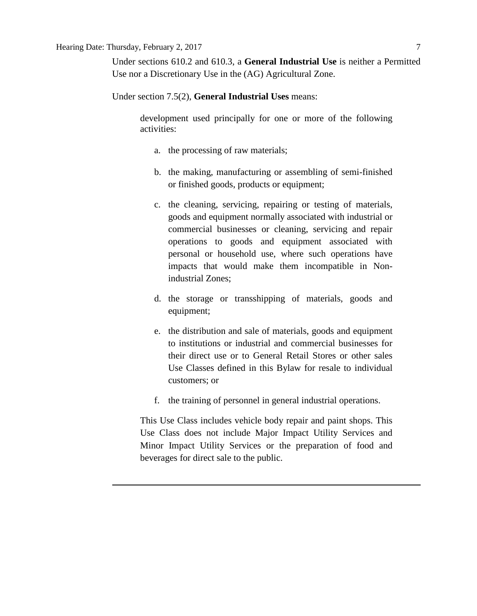Under sections 610.2 and 610.3, a **General Industrial Use** is neither a Permitted Use nor a Discretionary Use in the (AG) Agricultural Zone.

Under section 7.5(2), **General Industrial Uses** means:

development used principally for one or more of the following activities:

- a. the processing of raw materials;
- b. the making, manufacturing or assembling of semi-finished or finished goods, products or equipment;
- c. the cleaning, servicing, repairing or testing of materials, goods and equipment normally associated with industrial or commercial businesses or cleaning, servicing and repair operations to goods and equipment associated with personal or household use, where such operations have impacts that would make them incompatible in Nonindustrial Zones;
- d. the storage or transshipping of materials, goods and equipment;
- e. the distribution and sale of materials, goods and equipment to institutions or industrial and commercial businesses for their direct use or to General Retail Stores or other sales Use Classes defined in this Bylaw for resale to individual customers; or
- f. the training of personnel in general industrial operations.

This Use Class includes vehicle body repair and paint shops. This Use Class does not include Major Impact Utility Services and Minor Impact Utility Services or the preparation of food and beverages for direct sale to the public.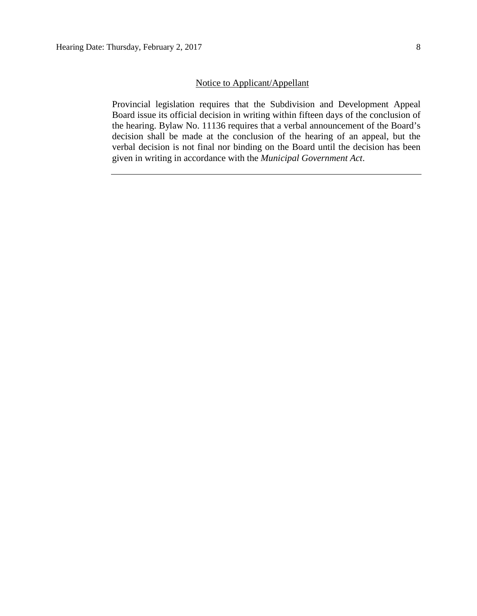## Notice to Applicant/Appellant

Provincial legislation requires that the Subdivision and Development Appeal Board issue its official decision in writing within fifteen days of the conclusion of the hearing. Bylaw No. 11136 requires that a verbal announcement of the Board's decision shall be made at the conclusion of the hearing of an appeal, but the verbal decision is not final nor binding on the Board until the decision has been given in writing in accordance with the *Municipal Government Act*.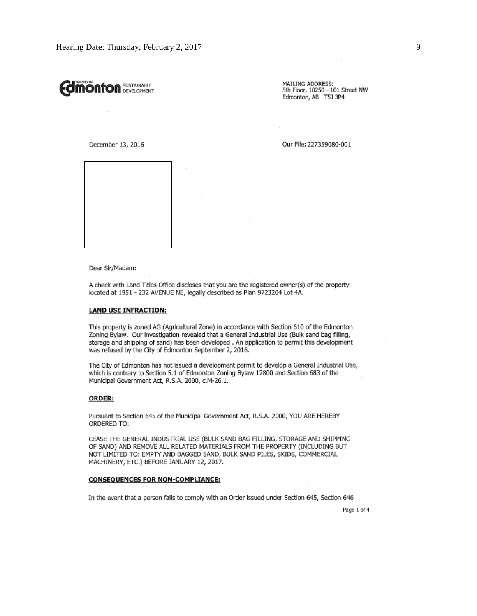# **Önfon** Sustainable

MAILING ADDRESS: 5th Floor, 10250 - 101 Street NW Edmonton, AB T5J 3P4

December 13, 2016

Our File: 227359080-001



Dear Sir/Madam:

A check with Land Titles Office discloses that you are the registered owner(s) of the property located at 1951 - 232 AVENUE NE, legally described as Plan 9723204 Lot 4A.

#### **LAND USE INFRACTION:**

This property is zoned AG (Agricultural Zone) in accordance with Section 610 of the Edmonton Zoning Bylaw. Our investigation revealed that a General Industrial Use (Bulk sand bag filling, storage and shipping of sand) has been developed . An application to permit this development was refused by the City of Edmonton September 2, 2016.

The City of Edmonton has not issued a development permit to develop a General Industrial Use, which is contrary to Section 5.1 of Edmonton Zoning Bylaw 12800 and Section 683 of the Municipal Government Act, R.S.A. 2000, c.M-26.1.

#### ORDER:

Pursuant to Section 645 of the Municipal Government Act, R.S.A. 2000, YOU ARE HEREBY ORDERED TO:

CEASE THE GENERAL INDUSTRIAL USE (BULK SAND BAG FILLING, STORAGE AND SHIPPING OF SAND) AND REMOVE ALL RELATED MATERIALS FROM THE PROPERTY (INCLUDING BUT NOT LIMITED TO: EMPTY AND BAGGED SAND, BULK SAND PILES, SKIDS, COMMERCIAL MACHINERY, ETC.) BEFORE JANUARY 12, 2017.

#### **CONSEQUENCES FOR NON-COMPLIANCE:**

In the event that a person fails to comply with an Order issued under Section 645, Section 646

Page 1 of 4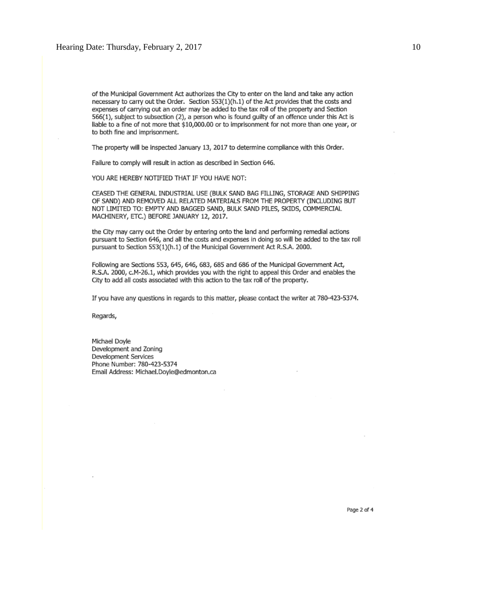of the Municipal Government Act authorizes the City to enter on the land and take any action necessary to carry out the Order. Section 553(1)(h.1) of the Act provides that the costs and expenses of carrying out an order may be added to the tax roll of the property and Section 566(1), subject to subsection (2), a person who is found guilty of an offence under this Act is liable to a fine of not more that \$10,000.00 or to imprisonment for not more than one year, or to both fine and imprisonment.

The property will be inspected January 13, 2017 to determine compliance with this Order.

Failure to comply will result in action as described in Section 646.

YOU ARE HEREBY NOTIFIED THAT IF YOU HAVE NOT:

CEASED THE GENERAL INDUSTRIAL USE (BULK SAND BAG FILLING, STORAGE AND SHIPPING OF SAND) AND REMOVED ALL RELATED MATERIALS FROM THE PROPERTY (INCLUDING BUT NOT LIMITED TO: EMPTY AND BAGGED SAND, BULK SAND PILES, SKIDS, COMMERCIAL MACHINERY, ETC.) BEFORE JANUARY 12, 2017.

the City may carry out the Order by entering onto the land and performing remedial actions pursuant to Section 646, and all the costs and expenses in doing so will be added to the tax roll pursuant to Section 553(1)(h.1) of the Municipal Government Act R.S.A. 2000.

Following are Sections 553, 645, 646, 683, 685 and 686 of the Municipal Government Act, R.S.A. 2000, c.M-26.1, which provides you with the right to appeal this Order and enables the City to add all costs associated with this action to the tax roll of the property.

If you have any questions in regards to this matter, please contact the writer at 780-423-5374.

Regards,

Michael Dovle Development and Zoning Development Services Phone Number: 780-423-5374 Email Address: Michael,Doyle@edmonton,ca

Page 2 of 4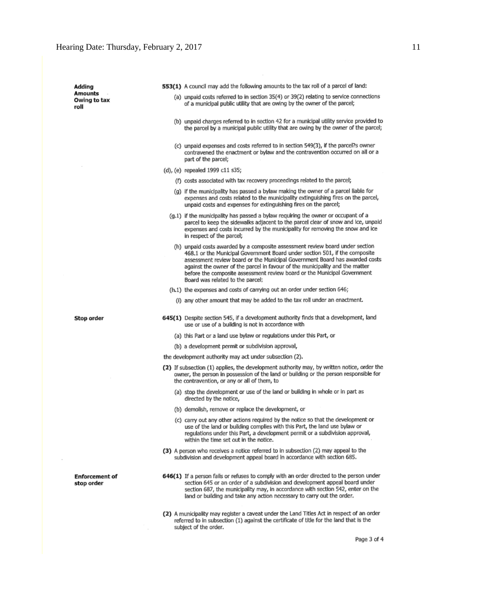$\sim$ 

| Adding                              |  | 553(1) A council may add the following amounts to the tax roll of a parcel of land:                                                                                                                                                                                                                                                                                                                                                         |
|-------------------------------------|--|---------------------------------------------------------------------------------------------------------------------------------------------------------------------------------------------------------------------------------------------------------------------------------------------------------------------------------------------------------------------------------------------------------------------------------------------|
| Amounts<br>Owing to tax<br>roll     |  | (a) unpaid costs referred to in section 35(4) or 39(2) relating to service connections<br>of a municipal public utility that are owing by the owner of the parcel;                                                                                                                                                                                                                                                                          |
|                                     |  | (b) unpaid charges referred to in section 42 for a municipal utility service provided to<br>the parcel by a municipal public utility that are owing by the owner of the parcel;                                                                                                                                                                                                                                                             |
|                                     |  | (c) unpaid expenses and costs referred to in section 549(3), if the parcel?s owner<br>contravened the enactment or bylaw and the contravention occurred on all or a<br>part of the parcel;                                                                                                                                                                                                                                                  |
|                                     |  | (d), (e) repealed 1999 c11 s35;                                                                                                                                                                                                                                                                                                                                                                                                             |
|                                     |  | (f) costs associated with tax recovery proceedings related to the parcel;                                                                                                                                                                                                                                                                                                                                                                   |
|                                     |  | (g) if the municipality has passed a bylaw making the owner of a parcel liable for<br>expenses and costs related to the municipality extinguishing fires on the parcel,<br>unpaid costs and expenses for extinguishing fires on the parcel;                                                                                                                                                                                                 |
|                                     |  | (g,1) if the municipality has passed a bylaw requiring the owner or occupant of a<br>parcel to keep the sidewalks adjacent to the parcel clear of snow and ice, unpaid<br>expenses and costs incurred by the municipality for removing the snow and ice<br>in respect of the parcel;                                                                                                                                                        |
|                                     |  | (h) unpaid costs awarded by a composite assessment review board under section<br>468.1 or the Municipal Government Board under section 501, if the composite<br>assessment review board or the Municipal Government Board has awarded costs<br>against the owner of the parcel in favour of the municipality and the matter<br>before the composite assessment review board or the Municipal Government<br>Board was related to the parcel; |
|                                     |  | (h.1) the expenses and costs of carrying out an order under section 646;                                                                                                                                                                                                                                                                                                                                                                    |
|                                     |  | (i) any other amount that may be added to the tax roll under an enactment.                                                                                                                                                                                                                                                                                                                                                                  |
| Stop order                          |  | 645(1) Despite section 545, if a development authority finds that a development, land<br>use or use of a building is not in accordance with                                                                                                                                                                                                                                                                                                 |
|                                     |  | (a) this Part or a land use bylaw or regulations under this Part, or                                                                                                                                                                                                                                                                                                                                                                        |
|                                     |  | (b) a development permit or subdivision approval,                                                                                                                                                                                                                                                                                                                                                                                           |
|                                     |  | the development authority may act under subsection (2).                                                                                                                                                                                                                                                                                                                                                                                     |
|                                     |  | (2) If subsection (1) applies, the development authority may, by written notice, order the<br>owner, the person in possession of the land or building or the person responsible for<br>the contravention, or any or all of them, to                                                                                                                                                                                                         |
|                                     |  | (a) stop the development or use of the land or building in whole or in part as<br>directed by the notice,                                                                                                                                                                                                                                                                                                                                   |
|                                     |  | (b) demolish, remove or replace the development, or                                                                                                                                                                                                                                                                                                                                                                                         |
|                                     |  | (c) carry out any other actions required by the notice so that the development or<br>use of the land or building complies with this Part, the land use bylaw or<br>regulations under this Part, a development permit or a subdivision approval,<br>within the time set out in the notice.                                                                                                                                                   |
|                                     |  | (3) A person who receives a notice referred to in subsection (2) may appeal to the<br>subdivision and development appeal board in accordance with section 685.                                                                                                                                                                                                                                                                              |
| <b>Enforcement of</b><br>stop order |  | 646(1) If a person fails or refuses to comply with an order directed to the person under<br>section 645 or an order of a subdivision and development appeal board under<br>section 687, the municipality may, in accordance with section 542, enter on the<br>land or building and take any action necessary to carry out the order.                                                                                                        |
|                                     |  | (2) A municipality may register a caveat under the Land Titles Act in respect of an order                                                                                                                                                                                                                                                                                                                                                   |

referred to in subsection (1) against the certificate of title for the land that is the subject of the order.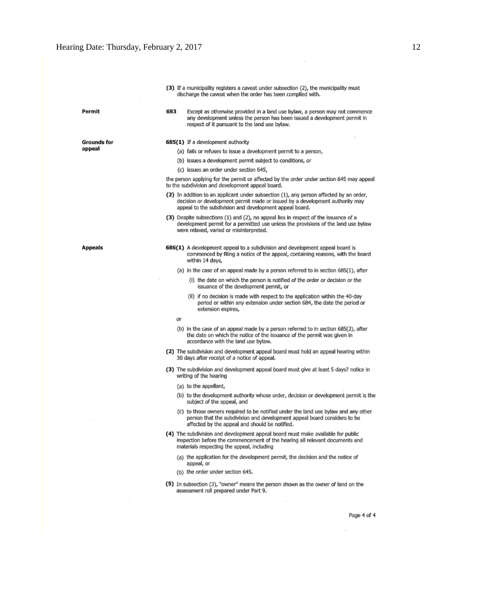| (3) If a municipality registers a caveat under subsection (2), the municipality must |
|--------------------------------------------------------------------------------------|
| discharge the caveat when the order has been complied with.                          |

Except as otherwise provided in a land use bylaw, a person may not commence any development unless the person has been issued a development permit in

Permit

Appeals

**Grounds for** appeal

685(1) If a development authority

683

- (a) fails or refuses to issue a development permit to a person,
- (b) issues a development permit subject to conditions, or

respect of it pursuant to the land use bylaw.

(c) issues an order under section 645,

the person applying for the permit or affected by the order under section 645 may appeal to the subdivision and development appeal board.

- (2) In addition to an applicant under subsection (1), any person affected by an order, decision or development permit made or issued by a development authority may appeal to the subdivision and development appeal board.
- (3) Despite subsections (1) and (2), no appeal lies in respect of the issuance of a development permit for a permitted use unless the provisions of the land use bylaw were relaxed, varied or misinterpreted.
- 686(1) A development appeal to a subdivision and development appeal board is commenced by filing a notice of the appeal, containing reasons, with the board within 14 days,

(a) in the case of an appeal made by a person referred to in section 685(1), after

- (i) the date on which the person is notified of the order or decision or the issuance of the development permit, or
- (ii) if no decision is made with respect to the application within the 40-day period or within any extension under section 684, the date the period or extension expires,

or

- (b) in the case of an appeal made by a person referred to in section 685(2), after the date on which the notice of the issuance of the permit was given in accordance with the land use bylaw.
- (2) The subdivision and development appeal board must hold an appeal hearing within 30 days after receipt of a notice of appeal.
- (3) The subdivision and development appeal board must give at least 5 days? notice in writing of the hearing
	- (a) to the appellant,
	- (b) to the development authority whose order, decision or development permit is the subject of the appeal, and
	- (c) to those owners required to be notified under the land use bylaw and any other person that the subdivision and development appeal board considers to be affected by the appeal and should be notified.
- (4) The subdivision and development appeal board must make available for public inspection before the commencement of the hearing all relevant documents and materials respecting the appeal, including
	- (a) the application for the development permit, the decision and the notice of appeal, or
	- (b) the order under section 645.
- (5) In subsection (3), "owner" means the person shown as the owner of land on the assessment roll prepared under Part 9.

Page 4 of 4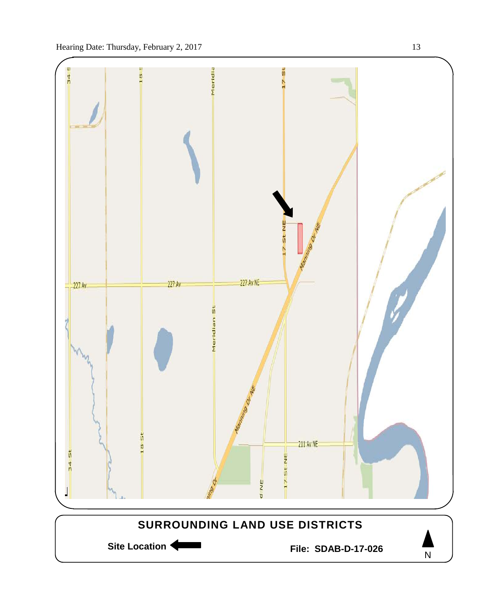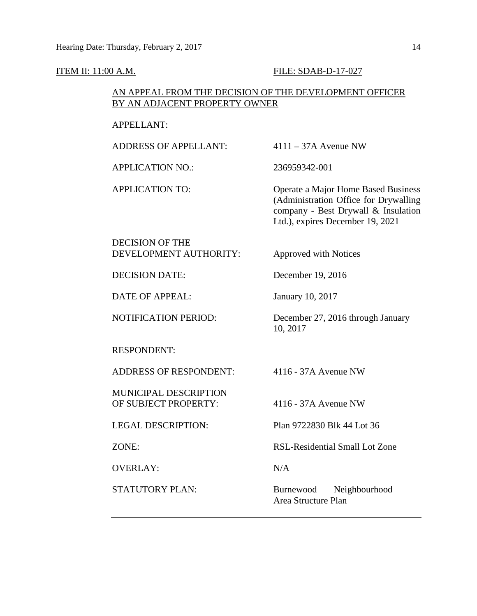#### ITEM II: 11:00 A.M. FILE: SDAB-D-17-027

## AN APPEAL FROM THE DECISION OF THE DEVELOPMENT OFFICER BY AN ADJACENT PROPERTY OWNER

### APPELLANT:

ADDRESS OF APPELLANT: 4111 – 37A Avenue NW

APPLICATION NO.: 236959342-001

APPLICATION TO: Operate a Major Home Based Business (Administration Office for Drywalling company - Best Drywall & Insulation Ltd.), expires December 19, 2021

DECISION OF THE DEVELOPMENT AUTHORITY: Approved with Notices

DECISION DATE: December 19, 2016

DATE OF APPEAL: January 10, 2017

RESPONDENT:

ADDRESS OF RESPONDENT: 4116 - 37A Avenue NW

MUNICIPAL DESCRIPTION OF SUBJECT PROPERTY: 4116 - 37A Avenue NW

OVERLAY: N/A

NOTIFICATION PERIOD: December 27, 2016 through January 10, 2017

LEGAL DESCRIPTION: Plan 9722830 Blk 44 Lot 36

ZONE: RSL-Residential Small Lot Zone

STATUTORY PLAN: Burnewood Neighbourhood Area Structure Plan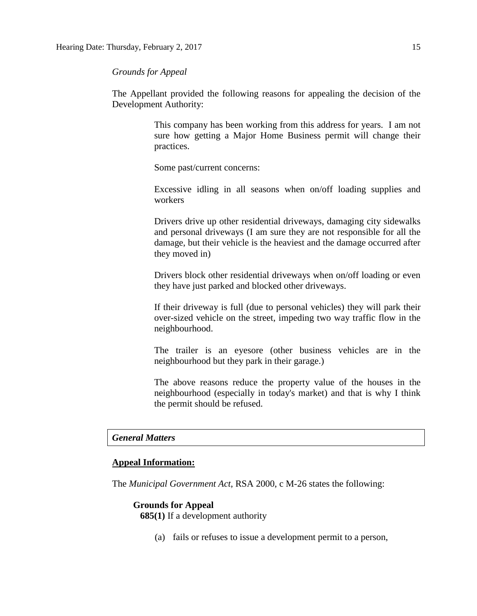*Grounds for Appeal*

The Appellant provided the following reasons for appealing the decision of the Development Authority:

> This company has been working from this address for years. I am not sure how getting a Major Home Business permit will change their practices.

Some past/current concerns:

Excessive idling in all seasons when on/off loading supplies and workers

Drivers drive up other residential driveways, damaging city sidewalks and personal driveways (I am sure they are not responsible for all the damage, but their vehicle is the heaviest and the damage occurred after they moved in)

Drivers block other residential driveways when on/off loading or even they have just parked and blocked other driveways.

If their driveway is full (due to personal vehicles) they will park their over-sized vehicle on the street, impeding two way traffic flow in the neighbourhood.

The trailer is an eyesore (other business vehicles are in the neighbourhood but they park in their garage.)

The above reasons reduce the property value of the houses in the neighbourhood (especially in today's market) and that is why I think the permit should be refused.

#### *General Matters*

#### **Appeal Information:**

The *Municipal Government Act*, RSA 2000, c M-26 states the following:

#### **Grounds for Appeal**

**685(1)** If a development authority

(a) fails or refuses to issue a development permit to a person,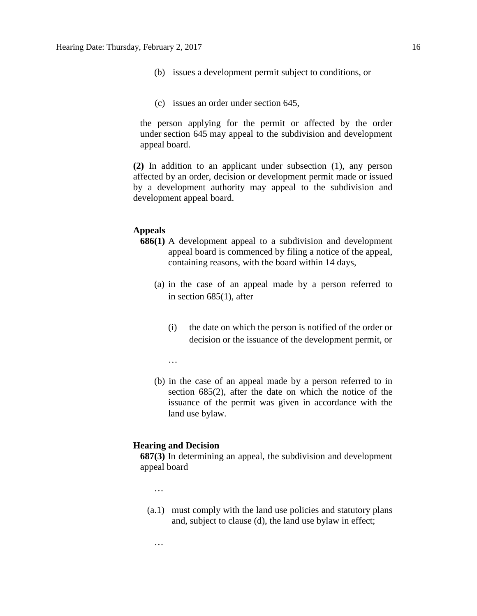- (b) issues a development permit subject to conditions, or
- (c) issues an order under section 645,

the person applying for the permit or affected by the order under section 645 may appeal to the subdivision and development appeal board.

**(2)** In addition to an applicant under subsection (1), any person affected by an order, decision or development permit made or issued by a development authority may appeal to the subdivision and development appeal board.

## **Appeals**

- **686(1)** A development appeal to a subdivision and development appeal board is commenced by filing a notice of the appeal, containing reasons, with the board within 14 days,
	- (a) in the case of an appeal made by a person referred to in section 685(1), after
		- (i) the date on which the person is notified of the order or decision or the issuance of the development permit, or
		- …
	- (b) in the case of an appeal made by a person referred to in section 685(2), after the date on which the notice of the issuance of the permit was given in accordance with the land use bylaw.

#### **Hearing and Decision**

**687(3)** In determining an appeal, the subdivision and development appeal board

…

…

(a.1) must comply with the land use policies and statutory plans and, subject to clause (d), the land use bylaw in effect;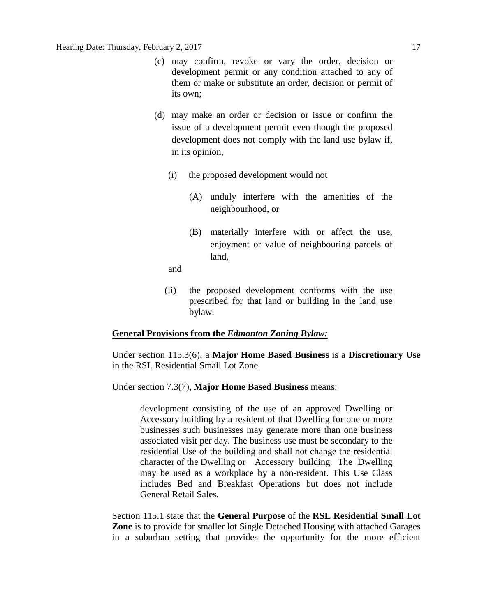- (c) may confirm, revoke or vary the order, decision or development permit or any condition attached to any of them or make or substitute an order, decision or permit of its own;
- (d) may make an order or decision or issue or confirm the issue of a development permit even though the proposed development does not comply with the land use bylaw if, in its opinion,
	- (i) the proposed development would not
		- (A) unduly interfere with the amenities of the neighbourhood, or
		- (B) materially interfere with or affect the use, enjoyment or value of neighbouring parcels of land,

and

(ii) the proposed development conforms with the use prescribed for that land or building in the land use bylaw.

#### **General Provisions from the** *Edmonton Zoning Bylaw:*

Under section 115.3(6), a **Major Home Based Business** is a **Discretionary Use** in the RSL Residential Small Lot Zone.

Under section 7.3(7), **Major Home Based Business** means:

development consisting of the use of an approved Dwelling or Accessory building by a resident of that Dwelling for one or more businesses such businesses may generate more than one business associated visit per day. The business use must be secondary to the residential Use of the building and shall not change the residential character of the Dwelling or Accessory building. The Dwelling may be used as a workplace by a non-resident. This Use Class includes Bed and Breakfast Operations but does not include General Retail Sales.

Section 115.1 state that the **General Purpose** of the **RSL Residential Small Lot Zone** is to provide for smaller lot Single Detached Housing with attached Garages in a suburban setting that provides the opportunity for the more efficient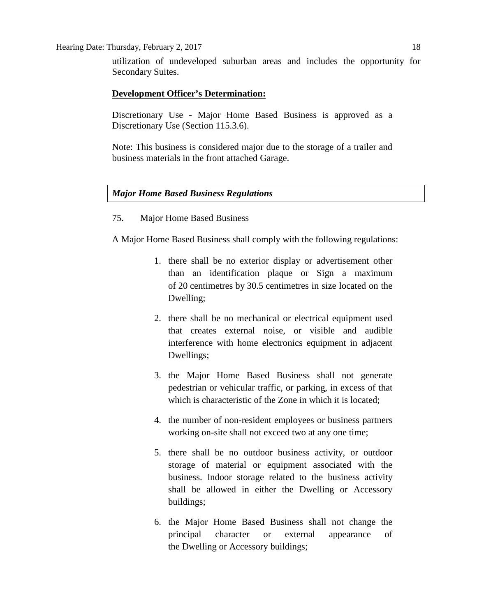utilization of undeveloped suburban areas and includes the opportunity for Secondary Suites.

## **Development Officer's Determination:**

Discretionary Use - Major Home Based Business is approved as a Discretionary Use (Section 115.3.6).

Note: This business is considered major due to the storage of a trailer and business materials in the front attached Garage.

## *Major Home Based Business Regulations*

## 75. Major Home Based Business

A [Major Home Based Business](javascript:void(0);) shall comply with the following regulations:

- 1. there shall be no exterior display or advertisement other than an identification plaque or Sign a maximum of 20 [centime](javascript:void(0);)tres by 30.5 [centimetres i](javascript:void(0);)n size located on the Dwelling;
- 2. there shall be no mechanical or electrical equipment used that creates external noise, or visible and audible interference with home electronics equipment in adjacent Dwellings;
- 3. the Major Home Based Business shall not generate pedestrian or vehicular traffic, or parking, in excess of that which is characteristic of the Zone in which it is located:
- 4. the number of non-resident employees or business partners working on-site shall not exceed two at any one time;
- 5. there shall be no outdoor business activity, or outdoor storage of material or equipment associated with the business. Indoor storage related to the business activity shall be allowed in either the Dwelling or Accessory buildings;
- 6. the Major Home Based Business shall not change the principal character or external appearance of the [Dwelling](javascript:void(0);) or [Accessory](javascript:void(0);) buildings;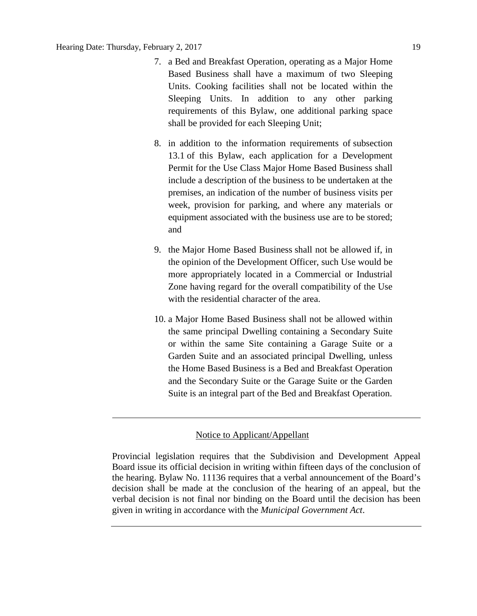- 7. a Bed and Breakfast Operation, operating as a Major Home Based Business shall have a maximum of two Sleeping Units. Cooking facilities shall not be located within the Sleeping Units. In addition to any other parking requirements of this Bylaw, one additional parking space shall be provided for each Sleeping Unit;
- 8. in addition to the information requirements of [subsection](http://webdocs.edmonton.ca/InfraPlan/zoningbylaw/ZoningBylaw/Part1/Administrative/13__Development_Application_Submissions.htm)  [13.1](http://webdocs.edmonton.ca/InfraPlan/zoningbylaw/ZoningBylaw/Part1/Administrative/13__Development_Application_Submissions.htm) of this Bylaw, each application for a Development Permit for the Use Class Major Home Based Business shall include a description of the business to be undertaken at the premises, an indication of the number of business visits per week, provision for parking, and where any materials or equipment associated with the business use are to be stored; and
- 9. the [Major Home Based Business](javascript:void(0);) shall not be allowed if, in the opinion of the Development Officer, such Use would be more appropriately located in a Commercial or Industrial Zone having regard for the overall compatibility of the Use with the residential character of the area.
- 10. a Major Home Based Business shall not be allowed within the same principal Dwelling containing a Secondary Suite or within the same Site containing a Garage Suite or a Garden Suite and an associated principal Dwelling, unless the Home Based Business is a Bed and Breakfast Operation and the Secondary Suite or the Garage Suite or the Garden Suite is an integral part of the Bed and Breakfast Operation.

#### Notice to Applicant/Appellant

Provincial legislation requires that the Subdivision and Development Appeal Board issue its official decision in writing within fifteen days of the conclusion of the hearing. Bylaw No. 11136 requires that a verbal announcement of the Board's decision shall be made at the conclusion of the hearing of an appeal, but the verbal decision is not final nor binding on the Board until the decision has been given in writing in accordance with the *Municipal Government Act*.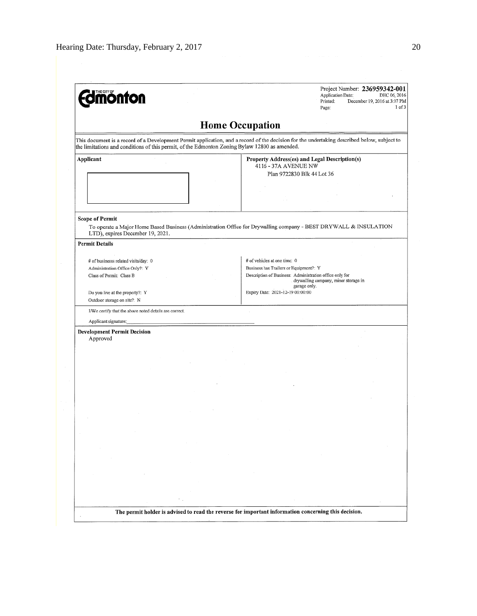| <b>mónfon</b>                                                                                      | Project Number: 236959342-001<br><b>Application Date:</b><br>DEC 06, 2016<br>Printed:<br>December 19, 2016 at 3:07 PM<br>1 of 3<br>Page:                                                  |
|----------------------------------------------------------------------------------------------------|-------------------------------------------------------------------------------------------------------------------------------------------------------------------------------------------|
|                                                                                                    | <b>Home Occupation</b>                                                                                                                                                                    |
| the limitations and conditions of this permit, of the Edmonton Zoning Bylaw 12800 as amended.      | This document is a record of a Development Permit application, and a record of the decision for the undertaking described below, subject to                                               |
| Applicant                                                                                          | Property Address(es) and Legal Description(s)<br>4116 - 37A AVENUE NW<br>Plan 9722830 Blk 44 Lot 36                                                                                       |
| <b>Scope of Permit</b><br>LTD), expires December 19, 2021.                                         | To operate a Major Home Based Business (Administration Office for Drywalling company - BEST DRYWALL & INSULATION                                                                          |
| <b>Permit Details</b>                                                                              |                                                                                                                                                                                           |
| # of businesss related visits/day: 0<br>Administration Office Only?: Y<br>Class of Permit: Class B | # of vehicles at one time: 0<br>Business has Trailers or Equipment?: Y<br>Description of Business: Administration office only for<br>drywalling company, minor storage in<br>garage only. |
| Do you live at the property?: Y<br>Outdoor storage on site?: N                                     | Expiry Date: 2021-12-19 00:00:00                                                                                                                                                          |
| I/We certify that the above noted details are correct.<br>Applicant signature;                     |                                                                                                                                                                                           |
| <b>Development Permit Decision</b><br>Approved                                                     |                                                                                                                                                                                           |
|                                                                                                    |                                                                                                                                                                                           |
|                                                                                                    |                                                                                                                                                                                           |
|                                                                                                    |                                                                                                                                                                                           |
|                                                                                                    |                                                                                                                                                                                           |
|                                                                                                    |                                                                                                                                                                                           |
|                                                                                                    |                                                                                                                                                                                           |
| ×                                                                                                  |                                                                                                                                                                                           |
|                                                                                                    | The permit holder is advised to read the reverse for important information concerning this decision.                                                                                      |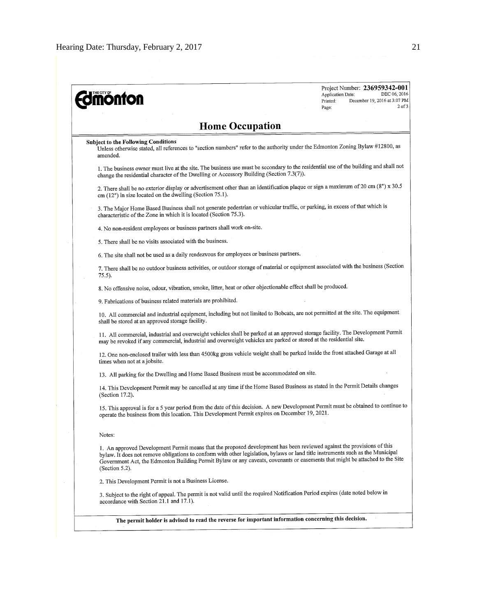| Project Number: 236959342-001<br><b>monton</b><br>DEC 06, 2016<br>Application Date:<br>December 19, 2016 at 3:07 PM<br>Printed:<br>$2$ of $3$<br>Page:                                                                                                                                                                                                                                                      |
|-------------------------------------------------------------------------------------------------------------------------------------------------------------------------------------------------------------------------------------------------------------------------------------------------------------------------------------------------------------------------------------------------------------|
| <b>Home Occupation</b>                                                                                                                                                                                                                                                                                                                                                                                      |
| <b>Subject to the Following Conditions</b><br>Unless otherwise stated, all references to "section numbers" refer to the authority under the Edmonton Zoning Bylaw #12800, as<br>amended.                                                                                                                                                                                                                    |
| 1. The business owner must live at the site. The business use must be secondary to the residential use of the building and shall not<br>change the residential character of the Dwelling or Accessory Building (Section 7.3(7)).                                                                                                                                                                            |
| 2. There shall be no exterior display or advertisement other than an identification plaque or sign a maximum of 20 cm (8") x 30.5<br>cm (12") in size located on the dwelling (Section 75.1).                                                                                                                                                                                                               |
| 3. The Major Home Based Business shall not generate pedestrian or vehicular traffic, or parking, in excess of that which is<br>characteristic of the Zone in which it is located (Section 75.3).                                                                                                                                                                                                            |
| 4. No non-resident employees or business partners shall work on-site.                                                                                                                                                                                                                                                                                                                                       |
| 5. There shall be no visits associated with the business.                                                                                                                                                                                                                                                                                                                                                   |
| 6. The site shall not be used as a daily rendezvous for employees or business partners.                                                                                                                                                                                                                                                                                                                     |
| 7. There shall be no outdoor business activities, or outdoor storage of material or equipment associated with the business (Section<br>75.5).                                                                                                                                                                                                                                                               |
| 8. No offensive noise, odour, vibration, smoke, litter, heat or other objectionable effect shall be produced.                                                                                                                                                                                                                                                                                               |
| 9. Fabrications of business related materials are prohibited.                                                                                                                                                                                                                                                                                                                                               |
| 10. All commercial and industrial equipment, including but not limited to Bobcats, are not permitted at the site. The equipment<br>shall be stored at an approved storage facility.                                                                                                                                                                                                                         |
| 11. All commercial, industrial and overweight vehicles shall be parked at an approved storage facility. The Development Permit<br>may be revoked if any commercial, industrial and overweight vehicles are parked or stored at the residential site.                                                                                                                                                        |
| 12. One non-enclosed trailer with less than 4500kg gross vehicle weight shall be parked inside the front attached Garage at all<br>times when not at a jobsite.                                                                                                                                                                                                                                             |
| 13. All parking for the Dwelling and Home Based Business must be accommodated on site.                                                                                                                                                                                                                                                                                                                      |
| 14. This Development Permit may be cancelled at any time if the Home Based Business as stated in the Permit Details changes<br>(Section 17.2).                                                                                                                                                                                                                                                              |
| 15. This approval is for a 5 year period from the date of this decision. A new Development Permit must be obtained to continue to<br>operate the business from this location. This Development Permit expires on December 19, 2021.                                                                                                                                                                         |
| Notes:                                                                                                                                                                                                                                                                                                                                                                                                      |
| 1. An approved Development Permit means that the proposed development has been reviewed against the provisions of this<br>bylaw. It does not remove obligations to conform with other legislation, bylaws or land title instruments such as the Municipal<br>Government Act, the Edmonton Building Permit Bylaw or any caveats, covenants or easements that might be attached to the Site<br>(Section 5.2). |
| 2. This Development Permit is not a Business License.                                                                                                                                                                                                                                                                                                                                                       |
| 3. Subject to the right of appeal. The permit is not valid until the required Notification Period expires (date noted below in<br>accordance with Section 21.1 and 17.1).                                                                                                                                                                                                                                   |
| The permit holder is advised to read the reverse for important information concerning this decision.                                                                                                                                                                                                                                                                                                        |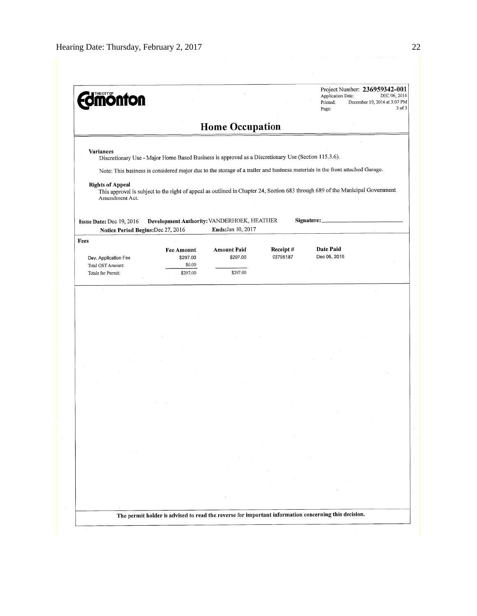| <b>mönton</b>                                                                                                                                                                                                                                                                                                                                                                                                                   |                                              |                                                                  |                      | Application Date:<br>Printed:<br>Page: | Project Number: 236959342-001<br>DEC 06, 2016<br>December 19, 2016 at 3:07 PM<br>3 of 3 |
|---------------------------------------------------------------------------------------------------------------------------------------------------------------------------------------------------------------------------------------------------------------------------------------------------------------------------------------------------------------------------------------------------------------------------------|----------------------------------------------|------------------------------------------------------------------|----------------------|----------------------------------------|-----------------------------------------------------------------------------------------|
|                                                                                                                                                                                                                                                                                                                                                                                                                                 |                                              | <b>Home Occupation</b>                                           |                      |                                        |                                                                                         |
| Variances<br>Discretionary Use - Major Home Based Business is approved as a Discretionary Use (Section 115.3.6).<br>Note: This business is considered major due to the storage of a trailer and business materials in the front attached Garage.<br><b>Rights of Appeal</b><br>This approval is subject to the right of appeal as outlined in Chapter 24, Section 683 through 689 of the Municipal Government<br>Amendment Act. |                                              |                                                                  |                      |                                        |                                                                                         |
| Issue Date: Dec 19, 2016<br>Notice Period Begins: Dec 27, 2016                                                                                                                                                                                                                                                                                                                                                                  |                                              | Development Authority: VANDERHOEK, HEATHER<br>Ends: Jan 10, 2017 |                      | Signature:                             |                                                                                         |
| Fees<br>Dev. Application Fee<br>Total GST Amount:<br>Totals for Permit:                                                                                                                                                                                                                                                                                                                                                         | Fee Amount<br>\$297.00<br>\$0.00<br>\$297.00 | <b>Amount Paid</b><br>\$297.00<br>\$297.00                       | Receipt#<br>03795187 | <b>Date Paid</b><br>Dec 06, 2016       |                                                                                         |
|                                                                                                                                                                                                                                                                                                                                                                                                                                 |                                              |                                                                  |                      |                                        |                                                                                         |
|                                                                                                                                                                                                                                                                                                                                                                                                                                 |                                              |                                                                  |                      |                                        |                                                                                         |
|                                                                                                                                                                                                                                                                                                                                                                                                                                 |                                              |                                                                  |                      |                                        |                                                                                         |
|                                                                                                                                                                                                                                                                                                                                                                                                                                 |                                              |                                                                  |                      |                                        |                                                                                         |
|                                                                                                                                                                                                                                                                                                                                                                                                                                 |                                              |                                                                  |                      |                                        |                                                                                         |
|                                                                                                                                                                                                                                                                                                                                                                                                                                 |                                              |                                                                  |                      |                                        |                                                                                         |
|                                                                                                                                                                                                                                                                                                                                                                                                                                 |                                              |                                                                  |                      |                                        |                                                                                         |
|                                                                                                                                                                                                                                                                                                                                                                                                                                 |                                              |                                                                  |                      |                                        |                                                                                         |
|                                                                                                                                                                                                                                                                                                                                                                                                                                 |                                              |                                                                  |                      |                                        |                                                                                         |
|                                                                                                                                                                                                                                                                                                                                                                                                                                 |                                              |                                                                  |                      |                                        |                                                                                         |
|                                                                                                                                                                                                                                                                                                                                                                                                                                 |                                              |                                                                  |                      |                                        |                                                                                         |
|                                                                                                                                                                                                                                                                                                                                                                                                                                 |                                              |                                                                  |                      |                                        |                                                                                         |
|                                                                                                                                                                                                                                                                                                                                                                                                                                 |                                              |                                                                  |                      |                                        |                                                                                         |
|                                                                                                                                                                                                                                                                                                                                                                                                                                 |                                              |                                                                  |                      |                                        |                                                                                         |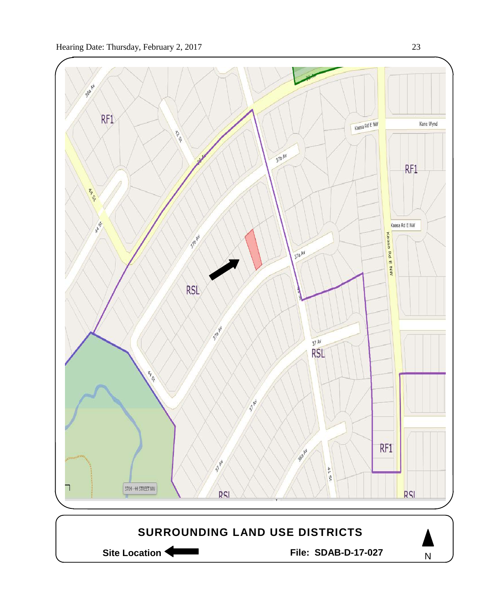

Site Location **Community Contract Contract Contract Contract Contract Contract Contract Contract Contract Contract Contract Contract Contract Contract Contract Contract Contract Contract Contract Contract Contract Contract** 

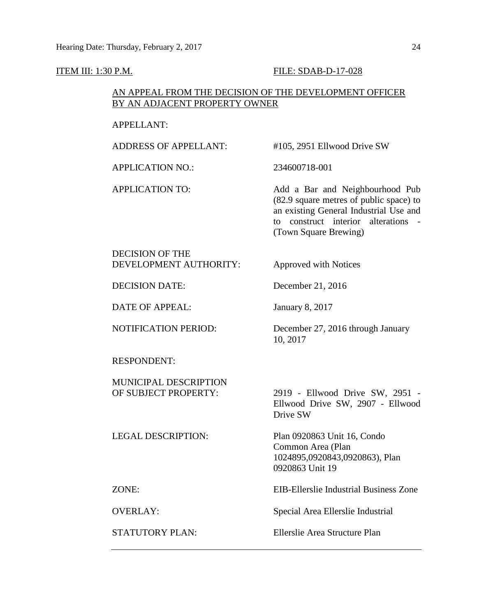#### ITEM III: 1:30 P.M. FILE: SDAB-D-17-028

## AN APPEAL FROM THE DECISION OF THE DEVELOPMENT OFFICER BY AN ADJACENT PROPERTY OWNER

## APPELLANT:

ADDRESS OF APPELLANT: #105, 2951 Ellwood Drive SW

APPLICATION NO.: 234600718-001

10, 2017

APPLICATION TO: Add a Bar and Neighbourhood Pub (82.9 square metres of public space) to an existing General Industrial Use and to construct interior alterations - (Town Square Brewing)

DECISION OF THE DEVELOPMENT AUTHORITY: Approved with Notices

DECISION DATE: December 21, 2016

DATE OF APPEAL: January 8, 2017

NOTIFICATION PERIOD: December 27, 2016 through January

RESPONDENT:

MUNICIPAL DESCRIPTION OF SUBJECT PROPERTY: 2919 - Ellwood Drive SW, 2951 -

LEGAL DESCRIPTION: Plan 0920863 Unit 16, Condo

Ellwood Drive SW, 2907 - Ellwood Drive SW

Common Area (Plan 1024895,0920843,0920863), Plan 0920863 Unit 19

ZONE: EIB-Ellerslie Industrial Business Zone

OVERLAY: Special Area Ellerslie Industrial

STATUTORY PLAN: Ellerslie Area Structure Plan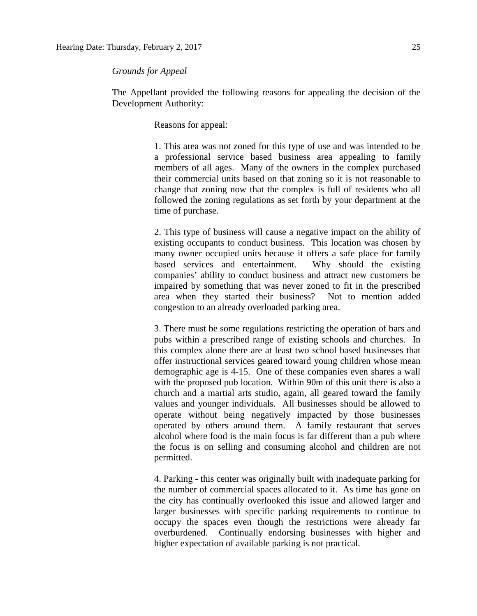The Appellant provided the following reasons for appealing the decision of the Development Authority:

Reasons for appeal:

1. This area was not zoned for this type of use and was intended to be a professional service based business area appealing to family members of all ages. Many of the owners in the complex purchased their commercial units based on that zoning so it is not reasonable to change that zoning now that the complex is full of residents who all followed the zoning regulations as set forth by your department at the time of purchase.

2. This type of business will cause a negative impact on the ability of existing occupants to conduct business. This location was chosen by many owner occupied units because it offers a safe place for family based services and entertainment. Why should the existing companies' ability to conduct business and attract new customers be impaired by something that was never zoned to fit in the prescribed area when they started their business? Not to mention added congestion to an already overloaded parking area.

3. There must be some regulations restricting the operation of bars and pubs within a prescribed range of existing schools and churches. In this complex alone there are at least two school based businesses that offer instructional services geared toward young children whose mean demographic age is 4-15. One of these companies even shares a wall with the proposed pub location. Within 90m of this unit there is also a church and a martial arts studio, again, all geared toward the family values and younger individuals. All businesses should be allowed to operate without being negatively impacted by those businesses operated by others around them. A family restaurant that serves alcohol where food is the main focus is far different than a pub where the focus is on selling and consuming alcohol and children are not permitted.

4. Parking - this center was originally built with inadequate parking for the number of commercial spaces allocated to it. As time has gone on the city has continually overlooked this issue and allowed larger and larger businesses with specific parking requirements to continue to occupy the spaces even though the restrictions were already far overburdened. Continually endorsing businesses with higher and higher expectation of available parking is not practical.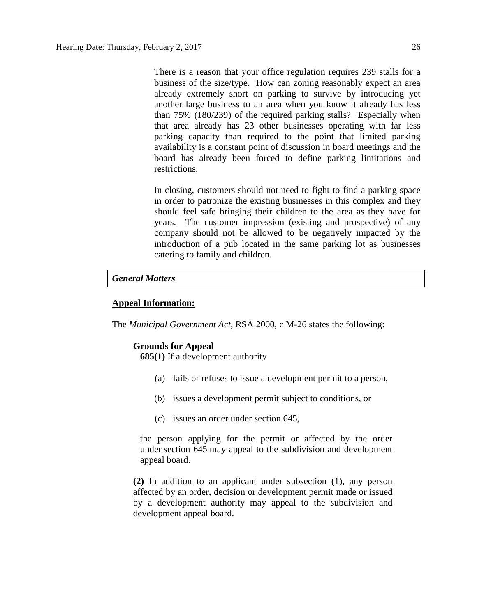There is a reason that your office regulation requires 239 stalls for a business of the size/type. How can zoning reasonably expect an area already extremely short on parking to survive by introducing yet another large business to an area when you know it already has less than 75% (180/239) of the required parking stalls? Especially when that area already has 23 other businesses operating with far less parking capacity than required to the point that limited parking availability is a constant point of discussion in board meetings and the board has already been forced to define parking limitations and restrictions.

In closing, customers should not need to fight to find a parking space in order to patronize the existing businesses in this complex and they should feel safe bringing their children to the area as they have for years. The customer impression (existing and prospective) of any company should not be allowed to be negatively impacted by the introduction of a pub located in the same parking lot as businesses catering to family and children.

#### *General Matters*

#### **Appeal Information:**

The *Municipal Government Act*, RSA 2000, c M-26 states the following:

#### **Grounds for Appeal**

**685(1)** If a development authority

- (a) fails or refuses to issue a development permit to a person,
- (b) issues a development permit subject to conditions, or
- (c) issues an order under section 645,

the person applying for the permit or affected by the order under section 645 may appeal to the subdivision and development appeal board.

**(2)** In addition to an applicant under subsection (1), any person affected by an order, decision or development permit made or issued by a development authority may appeal to the subdivision and development appeal board.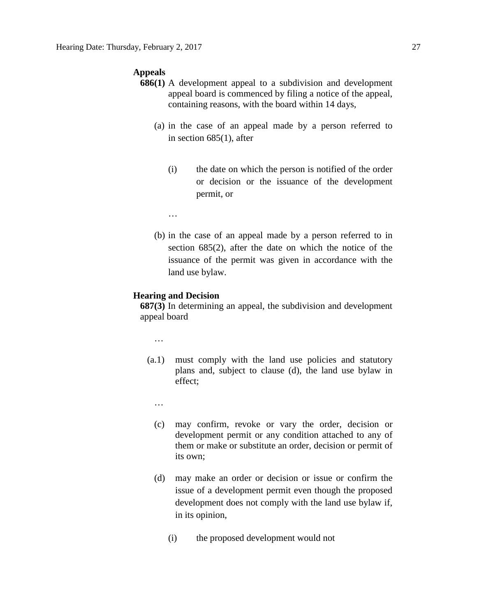#### **Appeals**

- **686(1)** A development appeal to a subdivision and development appeal board is commenced by filing a notice of the appeal, containing reasons, with the board within 14 days,
	- (a) in the case of an appeal made by a person referred to in section 685(1), after
		- (i) the date on which the person is notified of the order or decision or the issuance of the development permit, or
		- …
	- (b) in the case of an appeal made by a person referred to in section 685(2), after the date on which the notice of the issuance of the permit was given in accordance with the land use bylaw.

#### **Hearing and Decision**

**687(3)** In determining an appeal, the subdivision and development appeal board

…

- (a.1) must comply with the land use policies and statutory plans and, subject to clause (d), the land use bylaw in effect;
	- …
	- (c) may confirm, revoke or vary the order, decision or development permit or any condition attached to any of them or make or substitute an order, decision or permit of its own;
	- (d) may make an order or decision or issue or confirm the issue of a development permit even though the proposed development does not comply with the land use bylaw if, in its opinion,
		- (i) the proposed development would not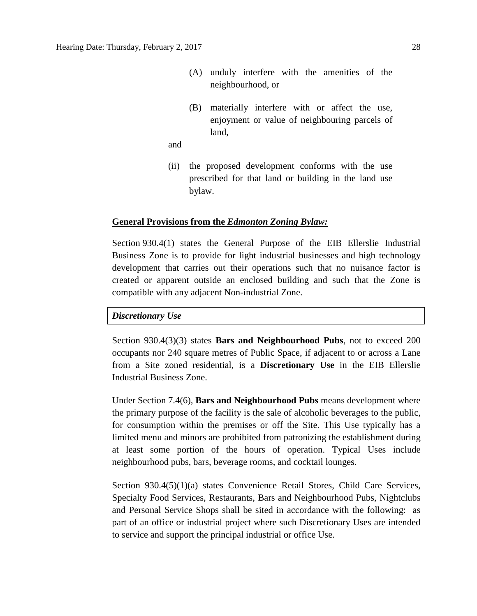- (A) unduly interfere with the amenities of the neighbourhood, or
- (B) materially interfere with or affect the use, enjoyment or value of neighbouring parcels of land,

and

(ii) the proposed development conforms with the use prescribed for that land or building in the land use bylaw.

#### **General Provisions from the** *Edmonton Zoning Bylaw:*

Section 930.4(1) states the General Purpose of the EIB Ellerslie Industrial Business Zone is to provide for light industrial businesses and high technology development that carries out their operations such that no nuisance factor is created or apparent outside an enclosed building and such that the Zone is compatible with any adjacent Non-industrial Zone.

#### *Discretionary Use*

Section 930.4(3)(3) states **Bars and Neighbourhood Pubs**, not to exceed 200 occupants nor 240 square metres of Public Space, if adjacent to or across a Lane from a Site zoned residential, is a **Discretionary Use** in the EIB Ellerslie Industrial Business Zone.

Under Section 7.4(6), **Bars and Neighbourhood Pubs** means development where the primary purpose of the facility is the sale of alcoholic beverages to the public, for consumption within the premises or off the Site. This Use typically has a limited menu and minors are prohibited from patronizing the establishment during at least some portion of the hours of operation. Typical Uses include neighbourhood pubs, bars, beverage rooms, and cocktail lounges.

Section 930.4(5)(1)(a) states Convenience Retail Stores, Child Care Services, Specialty Food Services, Restaurants, Bars and Neighbourhood Pubs, Nightclubs and Personal Service Shops shall be sited in accordance with the following: as part of an office or industrial project where such Discretionary Uses are intended to service and support the principal industrial or office Use.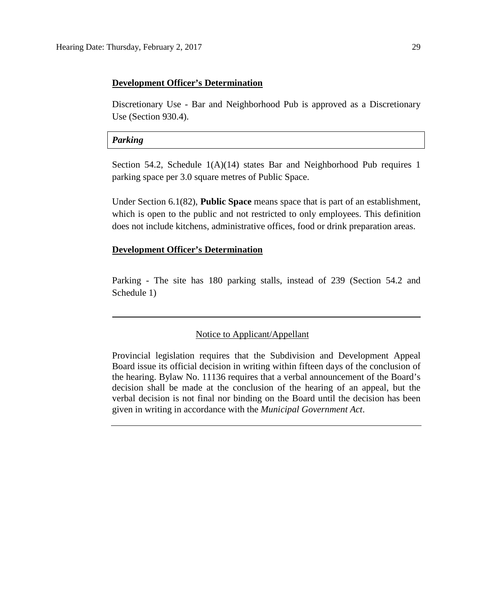#### **Development Officer's Determination**

Discretionary Use - Bar and Neighborhood Pub is approved as a Discretionary Use (Section 930.4).

#### *Parking*

Section 54.2, Schedule 1(A)(14) states Bar and Neighborhood Pub requires 1 parking space per [3.0 square](javascript:void(0);) metres of Public Space.

Under Section 6.1(82), **Public Space** means space that is part of an establishment, which is open to the public and not restricted to only employees. This definition does not include kitchens, administrative offices, food or drink preparation areas.

## **Development Officer's Determination**

Parking - The site has 180 parking stalls, instead of 239 (Section 54.2 and Schedule 1)

#### Notice to Applicant/Appellant

Provincial legislation requires that the Subdivision and Development Appeal Board issue its official decision in writing within fifteen days of the conclusion of the hearing. Bylaw No. 11136 requires that a verbal announcement of the Board's decision shall be made at the conclusion of the hearing of an appeal, but the verbal decision is not final nor binding on the Board until the decision has been given in writing in accordance with the *Municipal Government Act*.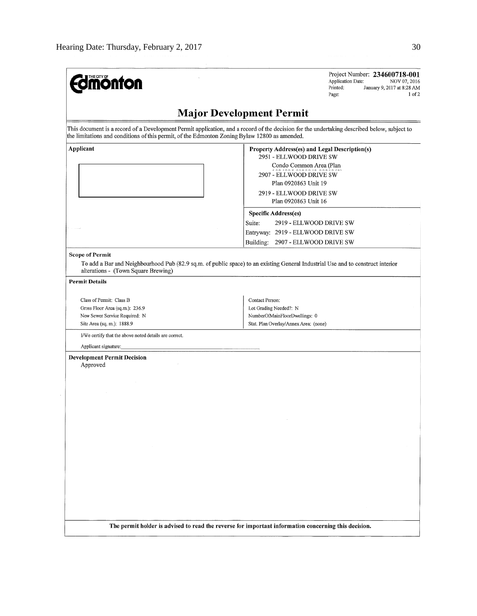| T <u>HE C</u> ITY OF<br><b>nonton</b>                                                         | Project Number: 234600718-001<br>Application Date:<br>NOV 07, 2016<br>Printed:<br>January 9, 2017 at 8:28 AM<br>$1$ of $2$<br>Page:                                                                                                                                    |
|-----------------------------------------------------------------------------------------------|------------------------------------------------------------------------------------------------------------------------------------------------------------------------------------------------------------------------------------------------------------------------|
|                                                                                               | <b>Major Development Permit</b>                                                                                                                                                                                                                                        |
| the limitations and conditions of this permit, of the Edmonton Zoning Bylaw 12800 as amended. | This document is a record of a Development Permit application, and a record of the decision for the undertaking described below, subject to                                                                                                                            |
| Applicant                                                                                     | Property Address(es) and Legal Description(s)<br>2951 - ELLWOOD DRIVE SW<br>Condo Common Area (Plan<br>2907 - ELLWOOD DRIVE SW<br>Plan 0920863 Unit 19<br>2919 - ELLWOOD DRIVE SW<br>Plan 0920863 Unit 16<br>Specific Address(es)<br>Suite:<br>2919 - ELLWOOD DRIVE SW |
|                                                                                               | Entryway: 2919 - ELLWOOD DRIVE SW<br>Building:<br>2907 - ELLWOOD DRIVE SW                                                                                                                                                                                              |
| <b>Scope of Permit</b><br>alterations - (Town Square Brewing)<br><b>Permit Details</b>        | To add a Bar and Neighbourhood Pub (82.9 sq.m. of public space) to an existing General Industrial Use and to construct interior                                                                                                                                        |
|                                                                                               |                                                                                                                                                                                                                                                                        |
| Class of Permit: Class B                                                                      | Contact Person:                                                                                                                                                                                                                                                        |
| Gross Floor Area (sq.m.): 236.9<br>New Sewer Service Required: N                              | Lot Grading Needed?: N<br>NumberOfMainFloorDwellings: 0                                                                                                                                                                                                                |
| Site Area (sq. m.): 1888.9                                                                    | Stat. Plan Overlay/Annex Area: (none)                                                                                                                                                                                                                                  |
| I/We certify that the above noted details are correct.                                        |                                                                                                                                                                                                                                                                        |
| Applicant signature:                                                                          |                                                                                                                                                                                                                                                                        |
| <b>Development Permit Decision</b><br>Approved                                                |                                                                                                                                                                                                                                                                        |
|                                                                                               |                                                                                                                                                                                                                                                                        |
|                                                                                               |                                                                                                                                                                                                                                                                        |
|                                                                                               |                                                                                                                                                                                                                                                                        |
|                                                                                               |                                                                                                                                                                                                                                                                        |
|                                                                                               | The permit holder is advised to read the reverse for important information concerning this decision.                                                                                                                                                                   |
|                                                                                               |                                                                                                                                                                                                                                                                        |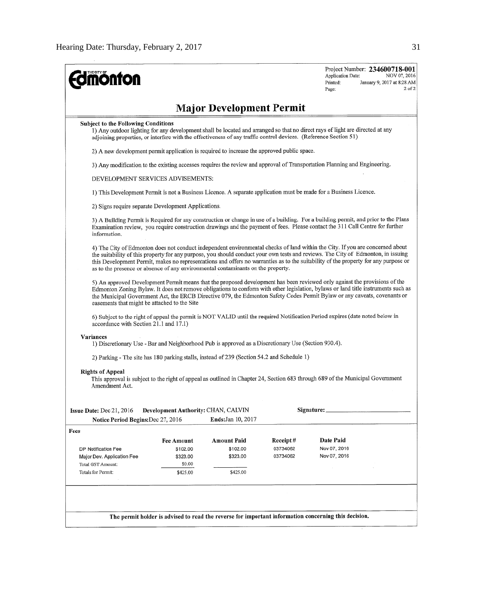